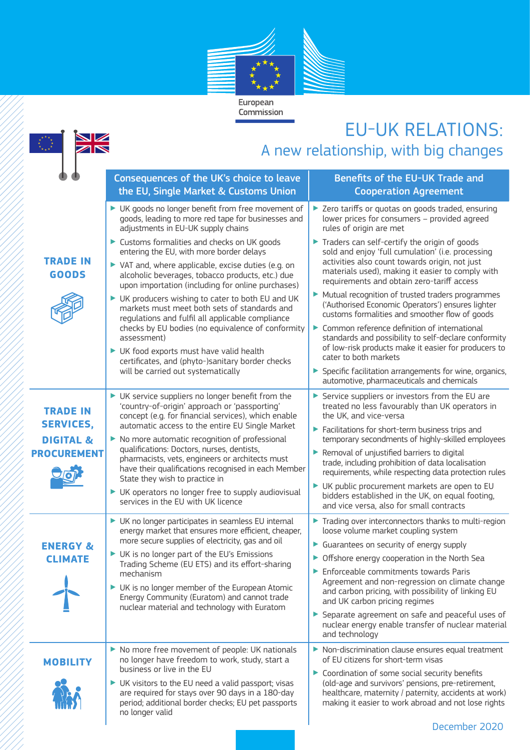

## EU-UK RELATIONS:

| EUTUN KELAHUND:<br>A new relationship, with big changes |                                                                                                                                                                                                                                                                                                                                                                                                                           |                                                                                                                                                                                                                                                                                                                                                                                                                                                                                                      |
|---------------------------------------------------------|---------------------------------------------------------------------------------------------------------------------------------------------------------------------------------------------------------------------------------------------------------------------------------------------------------------------------------------------------------------------------------------------------------------------------|------------------------------------------------------------------------------------------------------------------------------------------------------------------------------------------------------------------------------------------------------------------------------------------------------------------------------------------------------------------------------------------------------------------------------------------------------------------------------------------------------|
|                                                         | Consequences of the UK's choice to leave<br>the EU, Single Market & Customs Union                                                                                                                                                                                                                                                                                                                                         | Benefits of the EU-UK Trade and<br><b>Cooperation Agreement</b>                                                                                                                                                                                                                                                                                                                                                                                                                                      |
| <b>TRADE IN</b><br><b>GOODS</b>                         | UK goods no longer benefit from free movement of<br>goods, leading to more red tape for businesses and<br>adjustments in EU-UK supply chains                                                                                                                                                                                                                                                                              | > Zero tariffs or quotas on goods traded, ensuring<br>lower prices for consumers - provided agreed<br>rules of origin are met                                                                                                                                                                                                                                                                                                                                                                        |
|                                                         | Customs formalities and checks on UK goods<br>entering the EU, with more border delays<br>▶ VAT and, where applicable, excise duties (e.g. on<br>alcoholic beverages, tobacco products, etc.) due<br>upon importation (including for online purchases)                                                                                                                                                                    | $\blacktriangleright$ Traders can self-certify the origin of goods<br>sold and enjoy 'full cumulation' (i.e. processing<br>activities also count towards origin, not just<br>materials used), making it easier to comply with<br>requirements and obtain zero-tariff access                                                                                                                                                                                                                          |
|                                                         | UK producers wishing to cater to both EU and UK<br>markets must meet both sets of standards and<br>regulations and fulfil all applicable compliance                                                                                                                                                                                                                                                                       | Mutual recognition of trusted traders programmes<br>('Authorised Economic Operators') ensures lighter<br>customs formalities and smoother flow of goods                                                                                                                                                                                                                                                                                                                                              |
|                                                         | checks by EU bodies (no equivalence of conformity<br>assessment)<br>UK food exports must have valid health<br>certificates, and (phyto-)sanitary border checks                                                                                                                                                                                                                                                            | Common reference definition of international<br>standards and possibility to self-declare conformity<br>of low-risk products make it easier for producers to<br>cater to both markets                                                                                                                                                                                                                                                                                                                |
|                                                         | will be carried out systematically                                                                                                                                                                                                                                                                                                                                                                                        | Specific facilitation arrangements for wine, organics,<br>automotive, pharmaceuticals and chemicals                                                                                                                                                                                                                                                                                                                                                                                                  |
| <b>TRADE IN</b><br><b>SERVICES,</b>                     | UK service suppliers no longer benefit from the<br>'country-of-origin' approach or 'passporting'<br>concept (e.g. for financial services), which enable<br>automatic access to the entire EU Single Market                                                                                                                                                                                                                | Service suppliers or investors from the EU are<br>treated no less favourably than UK operators in<br>the UK, and vice-versa<br>Facilitations for short-term business trips and                                                                                                                                                                                                                                                                                                                       |
| <b>DIGITAL &amp;</b><br><b>PROCUREMENT</b>              | No more automatic recognition of professional<br>▶<br>qualifications: Doctors, nurses, dentists,<br>pharmacists, vets, engineers or architects must<br>have their qualifications recognised in each Member<br>State they wish to practice in                                                                                                                                                                              | temporary secondments of highly-skilled employees<br>Removal of unjustified barriers to digital<br>trade, including prohibition of data localisation<br>requirements, while respecting data protection rules<br>UK public procurement markets are open to EU                                                                                                                                                                                                                                         |
|                                                         | UK operators no longer free to supply audiovisual<br>services in the EU with UK licence                                                                                                                                                                                                                                                                                                                                   | bidders established in the UK, on equal footing,<br>and vice versa, also for small contracts                                                                                                                                                                                                                                                                                                                                                                                                         |
| <b>ENERGY &amp;</b><br><b>CLIMATE</b>                   | UK no longer participates in seamless EU internal<br>energy market that ensures more efficient, cheaper,<br>more secure supplies of electricity, gas and oil<br>UK is no longer part of the EU's Emissions<br>Trading Scheme (EU ETS) and its effort-sharing<br>mechanism<br>UK is no longer member of the European Atomic<br>Energy Community (Euratom) and cannot trade<br>nuclear material and technology with Euratom | Trading over interconnectors thanks to multi-region<br>loose volume market coupling system<br>Guarantees on security of energy supply<br>• Offshore energy cooperation in the North Sea<br>Enforceable commitments towards Paris<br>Agreement and non-regression on climate change<br>and carbon pricing, with possibility of linking EU<br>and UK carbon pricing regimes<br>Separate agreement on safe and peaceful uses of<br>nuclear energy enable transfer of nuclear material<br>and technology |
| <b>MOBILITY</b>                                         | No more free movement of people: UK nationals<br>no longer have freedom to work, study, start a<br>business or live in the EU<br>UK visitors to the EU need a valid passport; visas<br>are required for stays over 90 days in a 180-day<br>period; additional border checks; EU pet passports<br>no longer valid                                                                                                          | Non-discrimination clause ensures equal treatment<br>of EU citizens for short-term visas<br>Coordination of some social security benefits<br>(old-age and survivors' pensions, pre-retirement,<br>healthcare, maternity / paternity, accidents at work)<br>making it easier to work abroad and not lose rights<br>חרחר                                                                                                                                                                               |